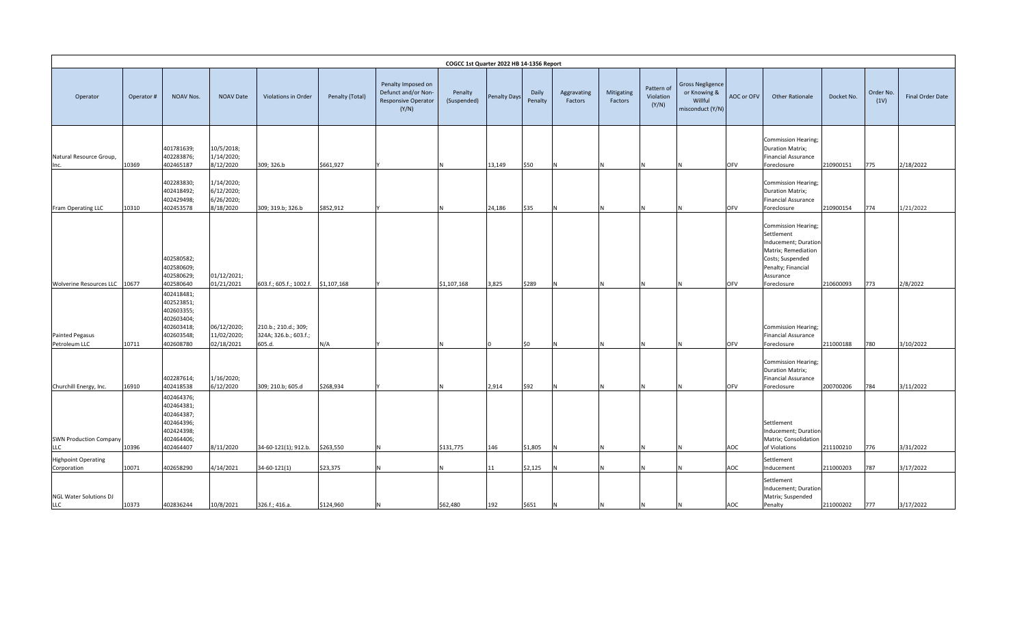|                                           |           |                                                                                               |                                                     |                                                         |                 |                                                                                  | COGCC 1st Quarter 2022 HB 14-1356 Report |                     |                  |                        |                       |                                  |                                                                        |            |                                                                                                                                                        |            |                   |                  |
|-------------------------------------------|-----------|-----------------------------------------------------------------------------------------------|-----------------------------------------------------|---------------------------------------------------------|-----------------|----------------------------------------------------------------------------------|------------------------------------------|---------------------|------------------|------------------------|-----------------------|----------------------------------|------------------------------------------------------------------------|------------|--------------------------------------------------------------------------------------------------------------------------------------------------------|------------|-------------------|------------------|
| Operator                                  | Operator# | NOAV Nos.                                                                                     | <b>NOAV Date</b>                                    | Violations in Order                                     | Penalty (Total) | Penalty Imposed on<br>Defunct and/or Non-<br><b>Responsive Operator</b><br>(Y/N) | Penalty<br>(Suspended)                   | <b>Penalty Days</b> | Daily<br>Penalty | Aggravating<br>Factors | Mitigating<br>Factors | Pattern of<br>Violation<br>(Y/N) | <b>Gross Negligence</b><br>or Knowing &<br>Willful<br>misconduct (Y/N) | AOC or OFV | <b>Other Rationale</b>                                                                                                                                 | Docket No. | Order No.<br>(1V) | Final Order Date |
| Natural Resource Group,<br>Inc.           | 10369     | 401781639;<br>402283876;<br>402465187                                                         | 10/5/2018;<br>1/14/2020;<br>8/12/2020               | 309; 326.b                                              | \$661,927       |                                                                                  |                                          | 13,149              | \$50             |                        |                       |                                  |                                                                        | OFV        | Commission Hearing;<br><b>Duration Matrix;</b><br><b>Financial Assurance</b><br>Foreclosure                                                            | 210900151  | 775               | 2/18/2022        |
| Fram Operating LLC                        | 10310     | 402283830;<br>402418492;<br>402429498;<br>402453578                                           | 1/14/2020;<br>6/12/2020;<br>6/26/2020;<br>8/18/2020 | 309; 319.b; 326.b                                       | \$852,912       |                                                                                  |                                          | 24,186              | \$35             |                        |                       |                                  |                                                                        | OFV        | Commission Hearing;<br><b>Duration Matrix;</b><br><b>Financial Assurance</b><br>Foreclosure                                                            | 210900154  | 774               | 1/21/2022        |
| Wolverine Resources LLC 10677             |           | 402580582;<br>402580609;<br>402580629;<br>402580640                                           | 01/12/2021;<br>01/21/2021                           | 603.f.; 605.f.; 1002.f.                                 | \$1,107,168     |                                                                                  | \$1,107,168                              | 3,825               | \$289            |                        |                       |                                  |                                                                        | OFV        | Commission Hearing;<br>Settlement<br>Inducement; Duration<br>Matrix; Remediation<br>Costs; Suspended<br>Penalty; Financial<br>Assurance<br>Foreclosure | 210600093  | 773               | 2/8/2022         |
| <b>Painted Pegasus</b><br>Petroleum LLC   | 10711     | 402418481;<br>402523851;<br>402603355;<br>402603404;<br>402603418;<br>402603548;<br>402608780 | 06/12/2020;<br>11/02/2020;<br>02/18/2021            | 210.b.; 210.d.; 309;<br>324A; 326.b.; 603.f.;<br>605.d. | N/A             |                                                                                  |                                          |                     | \$0              |                        |                       |                                  |                                                                        | OFV        | Commission Hearing;<br><b>Financial Assurance</b><br>Foreclosure                                                                                       | 211000188  | 780               | 3/10/2022        |
| Churchill Energy, Inc.                    | 16910     | 402287614;<br>402418538                                                                       | 1/16/2020;<br>6/12/2020                             | 309; 210.b; 605.d                                       | \$268,934       |                                                                                  |                                          | 2,914               | \$92             |                        |                       |                                  |                                                                        | OFV        | Commission Hearing;<br><b>Duration Matrix;</b><br><b>Financial Assurance</b><br>Foreclosure                                                            | 200700206  | 784               | 3/11/2022        |
| <b>SWN Production Company</b><br>LLC      | 10396     | 402464376;<br>402464381;<br>402464387;<br>402464396;<br>402424398;<br>402464406;<br>402464407 | 8/11/2020                                           | 34-60-121(1); 912.b.                                    | \$263,550       |                                                                                  | \$131,775                                | 146                 | \$1,805          |                        |                       |                                  |                                                                        | AOC        | Settlement<br>Inducement; Duration<br>Matrix; Consolidation<br>of Violations                                                                           | 211100210  | 776               | 3/31/2022        |
| <b>Highpoint Operating</b><br>Corporation | 10071     | 402658290                                                                                     | 4/14/2021                                           | 34-60-121(1)                                            | \$23,375        |                                                                                  |                                          | 11                  | \$2,125          |                        |                       |                                  |                                                                        | AOC        | Settlement<br>Inducement                                                                                                                               | 211000203  | 787               | 3/17/2022        |
| NGL Water Solutions DJ<br>LLC             | 10373     | 402836244                                                                                     | 10/8/2021                                           | 326.f.; 416.a.                                          | \$124,960       | IN.                                                                              | \$62,480                                 | 192                 | \$651            | <b>N</b>               | N                     | N                                | $\overline{N}$                                                         | AOC        | Settlement<br>Inducement; Duration<br>Matrix; Suspended<br>Penalty                                                                                     | 211000202  | 777               | 3/17/2022        |